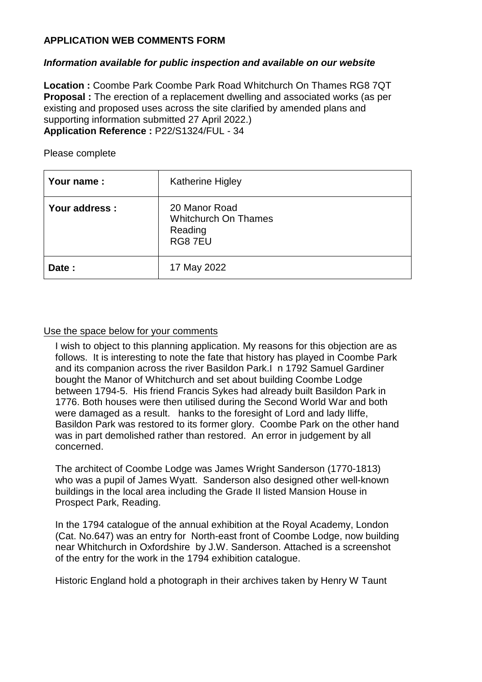## **APPLICATION WEB COMMENTS FORM**

## *Information available for public inspection and available on our website*

**Location :** Coombe Park Coombe Park Road Whitchurch On Thames RG8 7QT **Proposal :** The erection of a replacement dwelling and associated works (as per existing and proposed uses across the site clarified by amended plans and supporting information submitted 27 April 2022.) **Application Reference :** P22/S1324/FUL - 34

| Your name:     | <b>Katherine Higley</b>                                           |
|----------------|-------------------------------------------------------------------|
| Your address : | 20 Manor Road<br><b>Whitchurch On Thames</b><br>Reading<br>RG87EU |
| Date:          | 17 May 2022                                                       |

Please complete

## Use the space below for your comments

I wish to object to this planning application. My reasons for this objection are as follows. It is interesting to note the fate that history has played in Coombe Park and its companion across the river Basildon Park.I n 1792 Samuel Gardiner bought the Manor of Whitchurch and set about building Coombe Lodge between 1794-5. His friend Francis Sykes had already built Basildon Park in 1776. Both houses were then utilised during the Second World War and both were damaged as a result. hanks to the foresight of Lord and lady lliffe. Basildon Park was restored to its former glory. Coombe Park on the other hand was in part demolished rather than restored. An error in judgement by all concerned.

The architect of Coombe Lodge was James Wright Sanderson (1770-1813) who was a pupil of James Wyatt. Sanderson also designed other well-known buildings in the local area including the Grade II listed Mansion House in Prospect Park, Reading.

In the 1794 catalogue of the annual exhibition at the Royal Academy, London (Cat. No.647) was an entry for North-east front of Coombe Lodge, now building near Whitchurch in Oxfordshire by J.W. Sanderson. Attached is a screenshot of the entry for the work in the 1794 exhibition catalogue.

Historic England hold a photograph in their archives taken by Henry W Taunt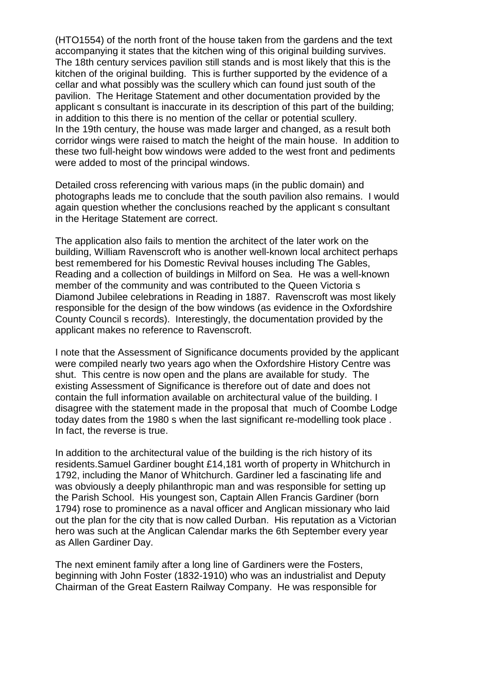(HTO1554) of the north front of the house taken from the gardens and the text accompanying it states that the kitchen wing of this original building survives. The 18th century services pavilion still stands and is most likely that this is the kitchen of the original building. This is further supported by the evidence of a cellar and what possibly was the scullery which can found just south of the pavilion. The Heritage Statement and other documentation provided by the applicant s consultant is inaccurate in its description of this part of the building; in addition to this there is no mention of the cellar or potential scullery. In the 19th century, the house was made larger and changed, as a result both corridor wings were raised to match the height of the main house. In addition to these two full-height bow windows were added to the west front and pediments were added to most of the principal windows.

Detailed cross referencing with various maps (in the public domain) and photographs leads me to conclude that the south pavilion also remains. I would again question whether the conclusions reached by the applicant s consultant in the Heritage Statement are correct.

The application also fails to mention the architect of the later work on the building, William Ravenscroft who is another well-known local architect perhaps best remembered for his Domestic Revival houses including The Gables, Reading and a collection of buildings in Milford on Sea. He was a well-known member of the community and was contributed to the Queen Victoria s Diamond Jubilee celebrations in Reading in 1887. Ravenscroft was most likely responsible for the design of the bow windows (as evidence in the Oxfordshire County Council s records). Interestingly, the documentation provided by the applicant makes no reference to Ravenscroft.

I note that the Assessment of Significance documents provided by the applicant were compiled nearly two years ago when the Oxfordshire History Centre was shut. This centre is now open and the plans are available for study. The existing Assessment of Significance is therefore out of date and does not contain the full information available on architectural value of the building. I disagree with the statement made in the proposal that much of Coombe Lodge today dates from the 1980 s when the last significant re-modelling took place . In fact, the reverse is true.

In addition to the architectural value of the building is the rich history of its residents.Samuel Gardiner bought £14,181 worth of property in Whitchurch in 1792, including the Manor of Whitchurch. Gardiner led a fascinating life and was obviously a deeply philanthropic man and was responsible for setting up the Parish School. His youngest son, Captain Allen Francis Gardiner (born 1794) rose to prominence as a naval officer and Anglican missionary who laid out the plan for the city that is now called Durban. His reputation as a Victorian hero was such at the Anglican Calendar marks the 6th September every year as Allen Gardiner Day.

The next eminent family after a long line of Gardiners were the Fosters, beginning with John Foster (1832-1910) who was an industrialist and Deputy Chairman of the Great Eastern Railway Company. He was responsible for